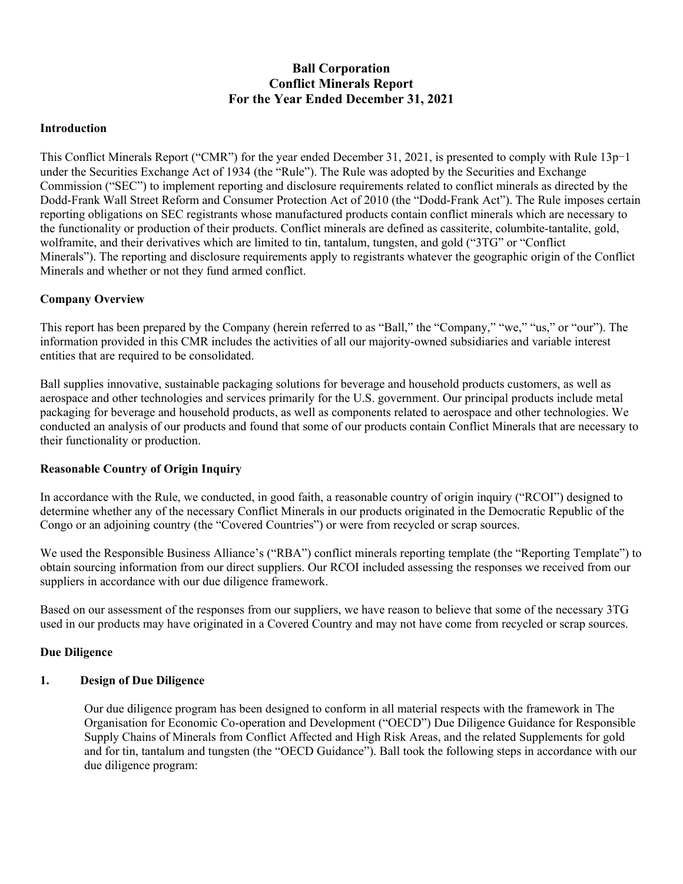# **Ball Corporation Conflict Minerals Report For the Year Ended December 31, 2021**

#### **Introduction**

This Conflict Minerals Report ("CMR") for the year ended December 31, 2021, is presented to comply with Rule 13p-1 under the Securities Exchange Act of 1934 (the "Rule"). The Rule was adopted by the Securities and Exchange Commission ("SEC") to implement reporting and disclosure requirements related to conflict minerals as directed by the Dodd-Frank Wall Street Reform and Consumer Protection Act of 2010 (the "Dodd-Frank Act"). The Rule imposes certain reporting obligations on SEC registrants whose manufactured products contain conflict minerals which are necessary to the functionality or production of their products. Conflict minerals are defined as cassiterite, columbite-tantalite, gold, wolframite, and their derivatives which are limited to tin, tantalum, tungsten, and gold ("3TG" or "Conflict Minerals"). The reporting and disclosure requirements apply to registrants whatever the geographic origin of the Conflict Minerals and whether or not they fund armed conflict.

#### **Company Overview**

This report has been prepared by the Company (herein referred to as "Ball," the "Company," "we," "us," or "our"). The information provided in this CMR includes the activities of all our majority-owned subsidiaries and variable interest entities that are required to be consolidated.

Ball supplies innovative, sustainable packaging solutions for beverage and household products customers, as well as aerospace and other technologies and services primarily for the U.S. government. Our principal products include metal packaging for beverage and household products, as well as components related to aerospace and other technologies. We conducted an analysis of our products and found that some of our products contain Conflict Minerals that are necessary to their functionality or production.

#### **Reasonable Country of Origin Inquiry**

In accordance with the Rule, we conducted, in good faith, a reasonable country of origin inquiry ("RCOI") designed to determine whether any of the necessary Conflict Minerals in our products originated in the Democratic Republic of the Congo or an adjoining country (the "Covered Countries") or were from recycled or scrap sources.

We used the Responsible Business Alliance's ("RBA") conflict minerals reporting template (the "Reporting Template") to obtain sourcing information from our direct suppliers. Our RCOI included assessing the responses we received from our suppliers in accordance with our due diligence framework.

Based on our assessment of the responses from our suppliers, we have reason to believe that some of the necessary 3TG used in our products may have originated in a Covered Country and may not have come from recycled or scrap sources.

#### **Due Diligence**

### **1. Design of Due Diligence**

Our due diligence program has been designed to conform in all material respects with the framework in The Organisation for Economic Co-operation and Development ("OECD") Due Diligence Guidance for Responsible Supply Chains of Minerals from Conflict Affected and High Risk Areas, and the related Supplements for gold and for tin, tantalum and tungsten (the "OECD Guidance"). Ball took the following steps in accordance with our due diligence program: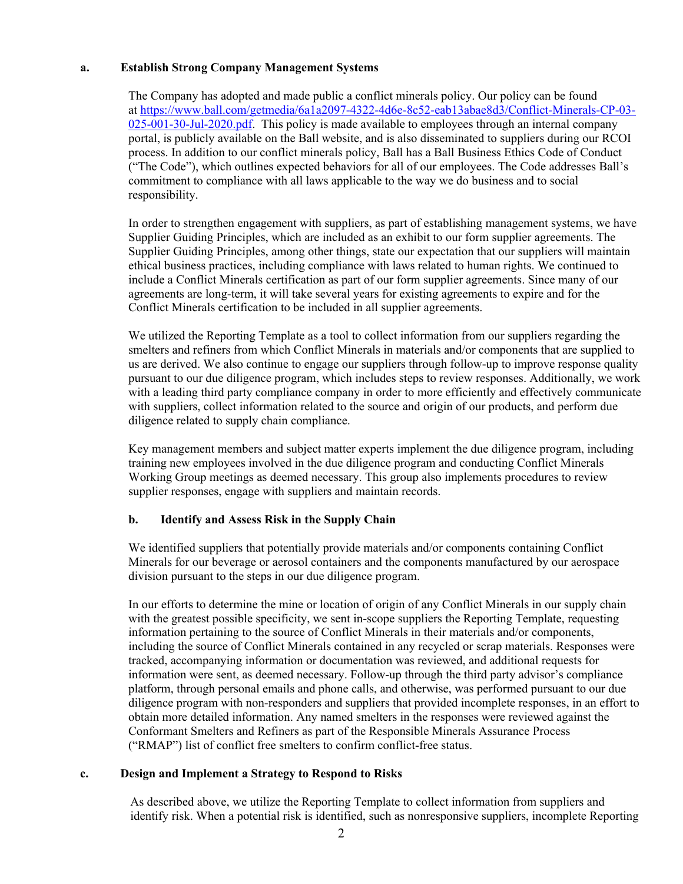#### **a. Establish Strong Company Management Systems**

The Company has adopted and made public a conflict minerals policy. Our policy can be found at [https://www.ball.com/getmedia/6a1a2097-4322-4d6e-8c52-eab13abae8d3/Conflict-Minerals-CP-03-](https://www.ball.com/getmedia/6a1a2097-4322-4d6e-8c52-eab13abae8d3/Conflict-Minerals-CP-03-025-001-30-Jul-2020.pdf) [025-001-30-Jul-2020.pdf.](https://www.ball.com/getmedia/6a1a2097-4322-4d6e-8c52-eab13abae8d3/Conflict-Minerals-CP-03-025-001-30-Jul-2020.pdf) This policy is made available to employees through an internal company portal, is publicly available on the Ball website, and is also disseminated to suppliers during our RCOI process. In addition to our conflict minerals policy, Ball has a Ball Business Ethics Code of Conduct ("The Code"), which outlines expected behaviors for all of our employees. The Code addresses Ball's commitment to compliance with all laws applicable to the way we do business and to social responsibility.

In order to strengthen engagement with suppliers, as part of establishing management systems, we have Supplier Guiding Principles, which are included as an exhibit to our form supplier agreements. The Supplier Guiding Principles, among other things, state our expectation that our suppliers will maintain ethical business practices, including compliance with laws related to human rights. We continued to include a Conflict Minerals certification as part of our form supplier agreements. Since many of our agreements are long-term, it will take several years for existing agreements to expire and for the Conflict Minerals certification to be included in all supplier agreements.

We utilized the Reporting Template as a tool to collect information from our suppliers regarding the smelters and refiners from which Conflict Minerals in materials and/or components that are supplied to us are derived. We also continue to engage our suppliers through follow-up to improve response quality pursuant to our due diligence program, which includes steps to review responses. Additionally, we work with a leading third party compliance company in order to more efficiently and effectively communicate with suppliers, collect information related to the source and origin of our products, and perform due diligence related to supply chain compliance.

Key management members and subject matter experts implement the due diligence program, including training new employees involved in the due diligence program and conducting Conflict Minerals Working Group meetings as deemed necessary. This group also implements procedures to review supplier responses, engage with suppliers and maintain records.

#### **b. Identify and Assess Risk in the Supply Chain**

We identified suppliers that potentially provide materials and/or components containing Conflict Minerals for our beverage or aerosol containers and the components manufactured by our aerospace division pursuant to the steps in our due diligence program.

In our efforts to determine the mine or location of origin of any Conflict Minerals in our supply chain with the greatest possible specificity, we sent in-scope suppliers the Reporting Template, requesting information pertaining to the source of Conflict Minerals in their materials and/or components, including the source of Conflict Minerals contained in any recycled or scrap materials. Responses were tracked, accompanying information or documentation was reviewed, and additional requests for information were sent, as deemed necessary. Follow-up through the third party advisor's compliance platform, through personal emails and phone calls, and otherwise, was performed pursuant to our due diligence program with non-responders and suppliers that provided incomplete responses, in an effort to obtain more detailed information. Any named smelters in the responses were reviewed against the Conformant Smelters and Refiners as part of the Responsible Minerals Assurance Process ("RMAP") list of conflict free smelters to confirm conflict-free status.

#### **c. Design and Implement a Strategy to Respond to Risks**

As described above, we utilize the Reporting Template to collect information from suppliers and identify risk. When a potential risk is identified, such as nonresponsive suppliers, incomplete Reporting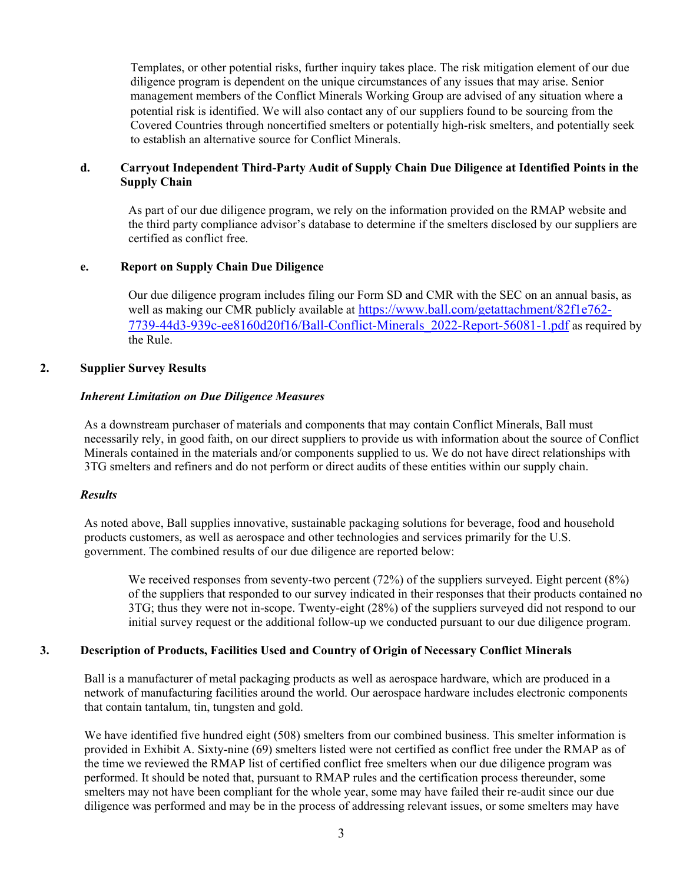Templates, or other potential risks, further inquiry takes place. The risk mitigation element of our due diligence program is dependent on the unique circumstances of any issues that may arise. Senior management members of the Conflict Minerals Working Group are advised of any situation where a potential risk is identified. We will also contact any of our suppliers found to be sourcing from the Covered Countries through noncertified smelters or potentially high-risk smelters, and potentially seek to establish an alternative source for Conflict Minerals.

#### **d. Carryout Independent Third-Party Audit of Supply Chain Due Diligence at Identified Points in the Supply Chain**

As part of our due diligence program, we rely on the information provided on the RMAP website and the third party compliance advisor's database to determine if the smelters disclosed by our suppliers are certified as conflict free.

## **e. Report on Supply Chain Due Diligence**

Our due diligence program includes filing our Form SD and CMR with the SEC on an annual basis, as well as making our CMR publicly available at [https://www.ball.com/getattachment/82f1e762-](https://www.ball.com/getattachment/82f1e762-7739-44d3-939c-ee8160d20f16/Ball-Conflict-Minerals_2022-Report-56081-1.pdf) [7739-44d3-939c-ee8160d20f16/Ball-Conflict-Minerals\\_2022-Report-56081-1.pdf](https://www.ball.com/getattachment/82f1e762-7739-44d3-939c-ee8160d20f16/Ball-Conflict-Minerals_2022-Report-56081-1.pdf) as required by the Rule.

#### **2. Supplier Survey Results**

#### *Inherent Limitation on Due Diligence Measures*

As a downstream purchaser of materials and components that may contain Conflict Minerals, Ball must necessarily rely, in good faith, on our direct suppliers to provide us with information about the source of Conflict Minerals contained in the materials and/or components supplied to us. We do not have direct relationships with 3TG smelters and refiners and do not perform or direct audits of these entities within our supply chain.

#### *Results*

As noted above, Ball supplies innovative, sustainable packaging solutions for beverage, food and household products customers, as well as aerospace and other technologies and services primarily for the U.S. government. The combined results of our due diligence are reported below:

We received responses from seventy-two percent (72%) of the suppliers surveyed. Eight percent (8%) of the suppliers that responded to our survey indicated in their responses that their products contained no 3TG; thus they were not in-scope. Twenty-eight (28%) of the suppliers surveyed did not respond to our initial survey request or the additional follow-up we conducted pursuant to our due diligence program.

#### **3. Description of Products, Facilities Used and Country of Origin of Necessary Conflict Minerals**

Ball is a manufacturer of metal packaging products as well as aerospace hardware, which are produced in a network of manufacturing facilities around the world. Our aerospace hardware includes electronic components that contain tantalum, tin, tungsten and gold.

We have identified five hundred eight (508) smelters from our combined business. This smelter information is provided in Exhibit A. Sixty-nine (69) smelters listed were not certified as conflict free under the RMAP as of the time we reviewed the RMAP list of certified conflict free smelters when our due diligence program was performed. It should be noted that, pursuant to RMAP rules and the certification process thereunder, some smelters may not have been compliant for the whole year, some may have failed their re-audit since our due diligence was performed and may be in the process of addressing relevant issues, or some smelters may have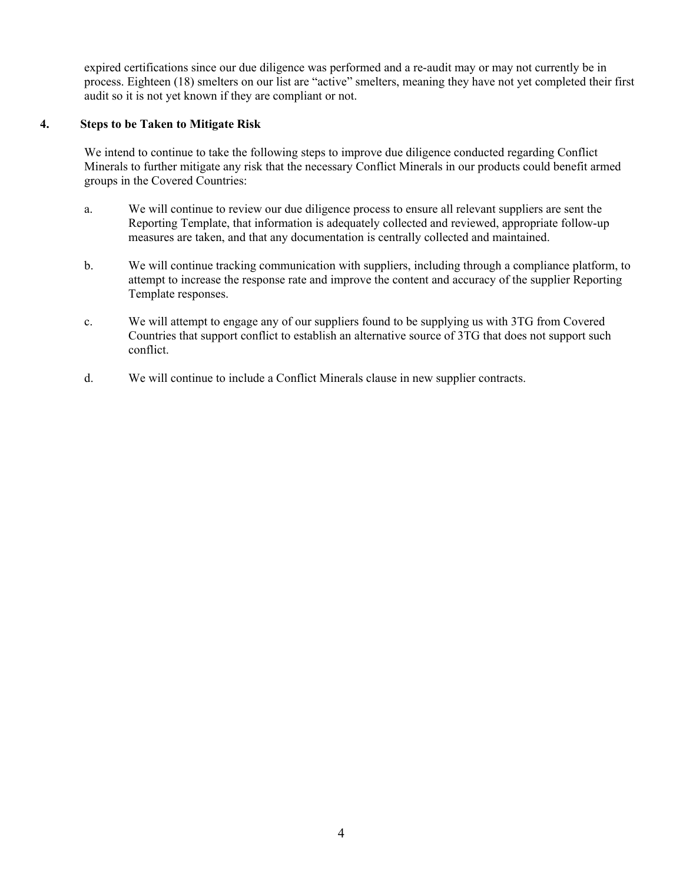expired certifications since our due diligence was performed and a re-audit may or may not currently be in process. Eighteen (18) smelters on our list are "active" smelters, meaning they have not yet completed their first audit so it is not yet known if they are compliant or not.

### **4. Steps to be Taken to Mitigate Risk**

We intend to continue to take the following steps to improve due diligence conducted regarding Conflict Minerals to further mitigate any risk that the necessary Conflict Minerals in our products could benefit armed groups in the Covered Countries:

- a. We will continue to review our due diligence process to ensure all relevant suppliers are sent the Reporting Template, that information is adequately collected and reviewed, appropriate follow-up measures are taken, and that any documentation is centrally collected and maintained.
- b. We will continue tracking communication with suppliers, including through a compliance platform, to attempt to increase the response rate and improve the content and accuracy of the supplier Reporting Template responses.
- c. We will attempt to engage any of our suppliers found to be supplying us with 3TG from Covered Countries that support conflict to establish an alternative source of 3TG that does not support such conflict.
- d. We will continue to include a Conflict Minerals clause in new supplier contracts.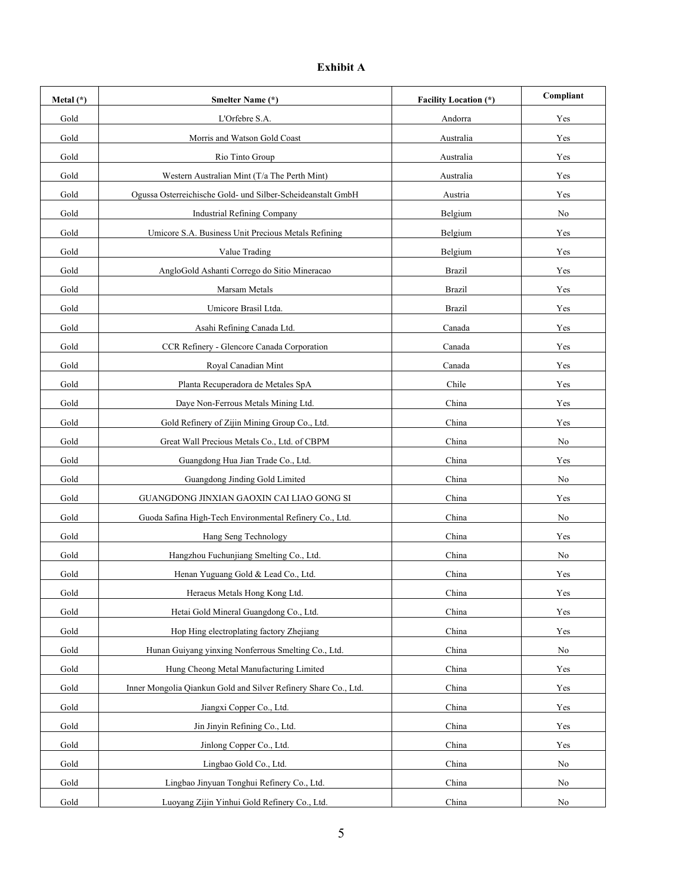# **Exhibit A**

| Metal $(*)$ | <b>Smelter Name (*)</b>                                         | <b>Facility Location (*)</b> | Compliant            |
|-------------|-----------------------------------------------------------------|------------------------------|----------------------|
| Gold        | L'Orfebre S.A.                                                  | Andorra                      | Yes                  |
| Gold        | Morris and Watson Gold Coast                                    | Australia                    | Yes                  |
| Gold        | Rio Tinto Group                                                 | Australia                    | Yes                  |
| Gold        | Western Australian Mint (T/a The Perth Mint)                    | Australia                    | Yes                  |
| Gold        | Ogussa Osterreichische Gold- und Silber-Scheideanstalt GmbH     | Austria                      | Yes                  |
| Gold        | <b>Industrial Refining Company</b>                              | Belgium                      | No                   |
| Gold        | Umicore S.A. Business Unit Precious Metals Refining             | Belgium                      | Yes                  |
| Gold        | Value Trading                                                   | Belgium                      | Yes                  |
| Gold        | AngloGold Ashanti Corrego do Sitio Mineracao                    | <b>Brazil</b>                | Yes                  |
| Gold        | Marsam Metals                                                   | <b>Brazil</b>                | Yes                  |
| Gold        | Umicore Brasil Ltda.                                            | <b>Brazil</b>                | Yes                  |
| Gold        | Asahi Refining Canada Ltd.                                      | Canada                       | Yes                  |
| Gold        | CCR Refinery - Glencore Canada Corporation                      | Canada                       | Yes                  |
| Gold        | Royal Canadian Mint                                             | Canada                       | Yes                  |
| Gold        | Planta Recuperadora de Metales SpA                              | Chile                        | Yes                  |
| Gold        | Daye Non-Ferrous Metals Mining Ltd.                             | China                        | Yes                  |
| Gold        | Gold Refinery of Zijin Mining Group Co., Ltd.                   | China                        | Yes                  |
| Gold        | Great Wall Precious Metals Co., Ltd. of CBPM                    | China                        | No                   |
| Gold        | Guangdong Hua Jian Trade Co., Ltd.                              | China                        | Yes                  |
| Gold        | Guangdong Jinding Gold Limited                                  | China                        | No                   |
| Gold        | GUANGDONG JINXIAN GAOXIN CAI LIAO GONG SI                       | China                        | Yes                  |
| Gold        | Guoda Safina High-Tech Environmental Refinery Co., Ltd.         | China                        | No                   |
| Gold        | Hang Seng Technology                                            | China                        | Yes                  |
| Gold        | Hangzhou Fuchunjiang Smelting Co., Ltd.                         | China                        | No                   |
| Gold        | Henan Yuguang Gold & Lead Co., Ltd.                             | China                        | Yes                  |
| Gold        | Heraeus Metals Hong Kong Ltd.                                   | China                        | $\operatorname{Yes}$ |
| Gold        | Hetai Gold Mineral Guangdong Co., Ltd.                          | China                        | Yes                  |
| Gold        | Hop Hing electroplating factory Zhejiang                        | China                        | Yes                  |
| Gold        | Hunan Guiyang yinxing Nonferrous Smelting Co., Ltd.             | China                        | No                   |
| Gold        | Hung Cheong Metal Manufacturing Limited                         | China                        | Yes                  |
| Gold        | Inner Mongolia Qiankun Gold and Silver Refinery Share Co., Ltd. | China                        | Yes                  |
| Gold        | Jiangxi Copper Co., Ltd.                                        | China                        | Yes                  |
| Gold        | Jin Jinyin Refining Co., Ltd.                                   | China                        | Yes                  |
| Gold        | Jinlong Copper Co., Ltd.                                        | China                        | Yes                  |
| Gold        | Lingbao Gold Co., Ltd.                                          | China                        | No                   |
| Gold        | Lingbao Jinyuan Tonghui Refinery Co., Ltd.                      | China                        | No                   |
| Gold        | Luoyang Zijin Yinhui Gold Refinery Co., Ltd.                    | China                        | No                   |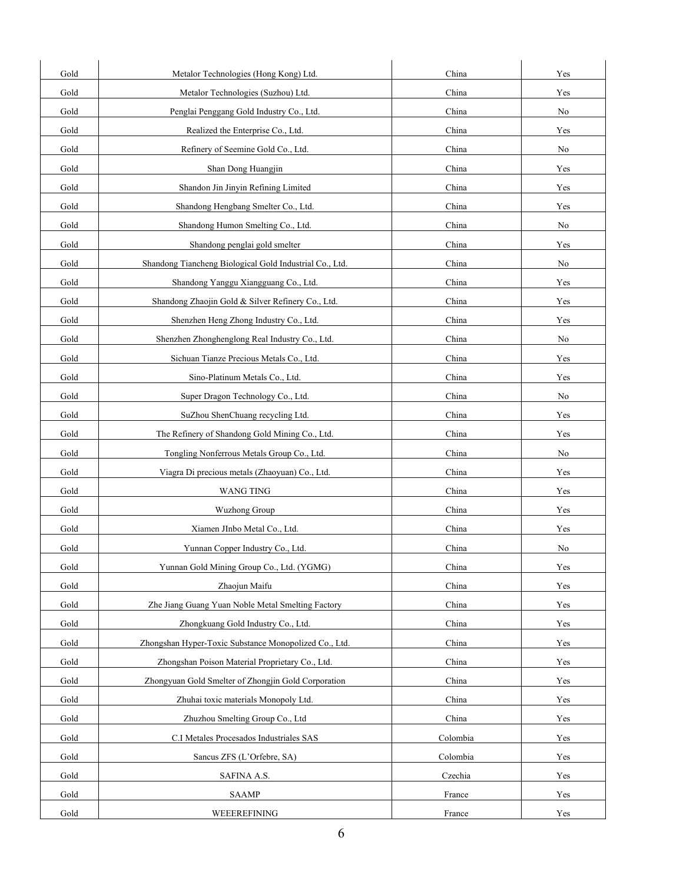| Gold | Metalor Technologies (Hong Kong) Ltd.                   | China    | Yes |
|------|---------------------------------------------------------|----------|-----|
| Gold | Metalor Technologies (Suzhou) Ltd.                      | China    | Yes |
| Gold | Penglai Penggang Gold Industry Co., Ltd.                | China    | No  |
| Gold | Realized the Enterprise Co., Ltd.                       | China    | Yes |
| Gold | Refinery of Seemine Gold Co., Ltd.                      | China    | No  |
| Gold | Shan Dong Huangjin                                      | China    | Yes |
| Gold | Shandon Jin Jinyin Refining Limited                     | China    | Yes |
| Gold | Shandong Hengbang Smelter Co., Ltd.                     | China    | Yes |
| Gold | Shandong Humon Smelting Co., Ltd.                       | China    | No  |
| Gold | Shandong penglai gold smelter                           | China    | Yes |
| Gold | Shandong Tiancheng Biological Gold Industrial Co., Ltd. | China    | No  |
| Gold | Shandong Yanggu Xiangguang Co., Ltd.                    | China    | Yes |
| Gold | Shandong Zhaojin Gold & Silver Refinery Co., Ltd.       | China    | Yes |
| Gold | Shenzhen Heng Zhong Industry Co., Ltd.                  | China    | Yes |
| Gold | Shenzhen Zhonghenglong Real Industry Co., Ltd.          | China    | No  |
| Gold | Sichuan Tianze Precious Metals Co., Ltd.                | China    | Yes |
| Gold | Sino-Platinum Metals Co., Ltd.                          | China    | Yes |
| Gold | Super Dragon Technology Co., Ltd.                       | China    | No  |
| Gold | SuZhou ShenChuang recycling Ltd.                        | China    | Yes |
| Gold | The Refinery of Shandong Gold Mining Co., Ltd.          | China    | Yes |
| Gold | Tongling Nonferrous Metals Group Co., Ltd.              | China    | No  |
| Gold | Viagra Di precious metals (Zhaoyuan) Co., Ltd.          | China    | Yes |
| Gold | <b>WANG TING</b>                                        | China    | Yes |
| Gold | <b>Wuzhong Group</b>                                    | China    | Yes |
| Gold | Xiamen JInbo Metal Co., Ltd.                            | China    | Yes |
| Gold | Yunnan Copper Industry Co., Ltd.                        | China    | No  |
| Gold | Yunnan Gold Mining Group Co., Ltd. (YGMG)               | China    | Yes |
| Gold | Zhaojun Maifu                                           | China    | Yes |
| Gold | Zhe Jiang Guang Yuan Noble Metal Smelting Factory       | China    | Yes |
| Gold | Zhongkuang Gold Industry Co., Ltd.                      | China    | Yes |
| Gold | Zhongshan Hyper-Toxic Substance Monopolized Co., Ltd.   | China    | Yes |
| Gold | Zhongshan Poison Material Proprietary Co., Ltd.         | China    | Yes |
| Gold | Zhongyuan Gold Smelter of Zhongjin Gold Corporation     | China    | Yes |
| Gold | Zhuhai toxic materials Monopoly Ltd.                    | China    | Yes |
| Gold | Zhuzhou Smelting Group Co., Ltd                         | China    | Yes |
| Gold | C.I Metales Procesados Industriales SAS                 | Colombia | Yes |
| Gold | Sancus ZFS (L'Orfebre, SA)                              | Colombia | Yes |
| Gold | SAFINA A.S.                                             | Czechia  | Yes |
| Gold | <b>SAAMP</b>                                            | France   | Yes |
| Gold | WEEEREFINING                                            | France   | Yes |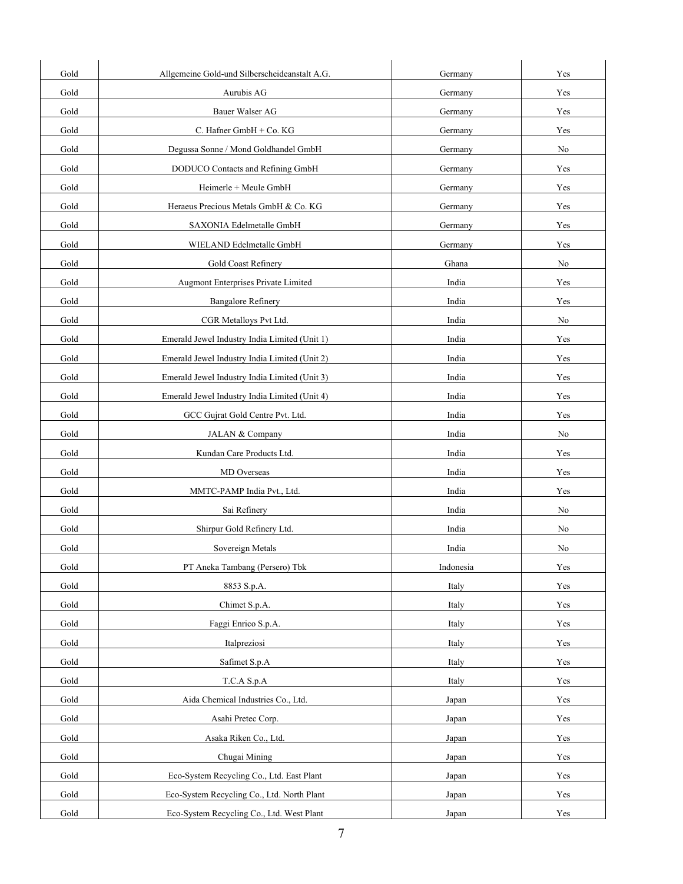| Gold | Allgemeine Gold-und Silberscheideanstalt A.G. | Germany   | Yes                  |
|------|-----------------------------------------------|-----------|----------------------|
| Gold | Aurubis AG                                    | Germany   | Yes                  |
| Gold | Bauer Walser AG                               | Germany   | Yes                  |
| Gold | C. Hafner GmbH + Co. KG                       | Germany   | Yes                  |
| Gold | Degussa Sonne / Mond Goldhandel GmbH          | Germany   | No                   |
| Gold | DODUCO Contacts and Refining GmbH             | Germany   | Yes                  |
| Gold | Heimerle + Meule GmbH                         | Germany   | Yes                  |
| Gold | Heraeus Precious Metals GmbH & Co. KG         | Germany   | Yes                  |
| Gold | SAXONIA Edelmetalle GmbH                      | Germany   | Yes                  |
| Gold | WIELAND Edelmetalle GmbH                      | Germany   | Yes                  |
| Gold | Gold Coast Refinery                           | Ghana     | No                   |
| Gold | Augmont Enterprises Private Limited           | India     | Yes                  |
| Gold | <b>Bangalore Refinery</b>                     | India     | Yes                  |
| Gold | CGR Metalloys Pvt Ltd.                        | India     | No                   |
| Gold | Emerald Jewel Industry India Limited (Unit 1) | India     | Yes                  |
| Gold | Emerald Jewel Industry India Limited (Unit 2) | India     | Yes                  |
| Gold | Emerald Jewel Industry India Limited (Unit 3) | India     | Yes                  |
| Gold | Emerald Jewel Industry India Limited (Unit 4) | India     | Yes                  |
| Gold | GCC Gujrat Gold Centre Pvt. Ltd.              | India     | Yes                  |
| Gold | JALAN & Company                               | India     | No                   |
| Gold | Kundan Care Products Ltd.                     | India     | Yes                  |
| Gold | MD Overseas                                   | India     | Yes                  |
| Gold | MMTC-PAMP India Pvt., Ltd.                    | India     | Yes                  |
| Gold | Sai Refinery                                  | India     | No                   |
| Gold | Shirpur Gold Refinery Ltd.                    | India     | No                   |
| Gold | Sovereign Metals                              | India     | No                   |
| Gold | PT Aneka Tambang (Persero) Tbk                | Indonesia | Yes                  |
| Gold | 8853 S.p.A.                                   | Italy     | Yes                  |
| Gold | Chimet S.p.A.                                 | Italy     | Yes                  |
| Gold | Faggi Enrico S.p.A.                           | Italy     | Yes                  |
| Gold | Italpreziosi                                  | Italy     | Yes                  |
| Gold | Safimet S.p.A                                 | Italy     | Yes                  |
| Gold | T.C.A S.p.A                                   | Italy     | $\operatorname{Yes}$ |
| Gold | Aida Chemical Industries Co., Ltd.            | Japan     | Yes                  |
| Gold | Asahi Pretec Corp.                            | Japan     | Yes                  |
| Gold | Asaka Riken Co., Ltd.                         | Japan     | Yes                  |
| Gold | Chugai Mining                                 | Japan     | Yes                  |
| Gold | Eco-System Recycling Co., Ltd. East Plant     | Japan     | Yes                  |
| Gold | Eco-System Recycling Co., Ltd. North Plant    | Japan     | Yes                  |
| Gold | Eco-System Recycling Co., Ltd. West Plant     | Japan     | Yes                  |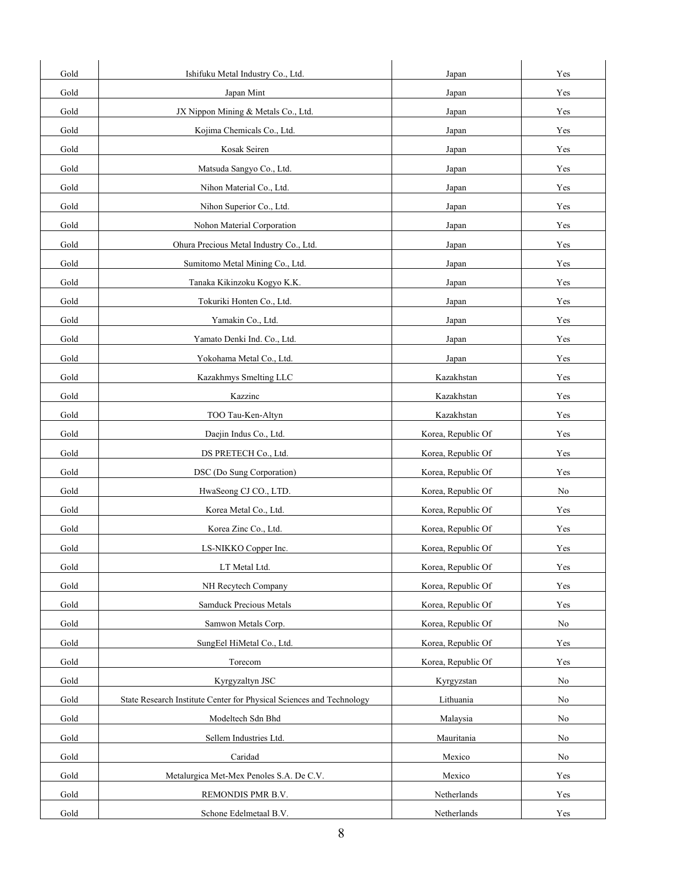| Gold | Ishifuku Metal Industry Co., Ltd.                                    | Japan              | Yes                  |
|------|----------------------------------------------------------------------|--------------------|----------------------|
| Gold | Japan Mint                                                           | Japan              | Yes                  |
| Gold | JX Nippon Mining & Metals Co., Ltd.                                  | Japan              | Yes                  |
| Gold | Kojima Chemicals Co., Ltd.                                           | Japan              | Yes                  |
| Gold | Kosak Seiren                                                         | Japan              | Yes                  |
| Gold | Matsuda Sangyo Co., Ltd.                                             | Japan              | Yes                  |
| Gold | Nihon Material Co., Ltd.                                             | Japan              | Yes                  |
| Gold | Nihon Superior Co., Ltd.                                             | Japan              | Yes                  |
| Gold | Nohon Material Corporation                                           | Japan              | Yes                  |
| Gold | Ohura Precious Metal Industry Co., Ltd.                              | Japan              | Yes                  |
| Gold | Sumitomo Metal Mining Co., Ltd.                                      | Japan              | Yes                  |
| Gold | Tanaka Kikinzoku Kogyo K.K.                                          | Japan              | Yes                  |
| Gold | Tokuriki Honten Co., Ltd.                                            | Japan              | Yes                  |
| Gold | Yamakin Co., Ltd.                                                    | Japan              | Yes                  |
| Gold | Yamato Denki Ind. Co., Ltd.                                          | Japan              | Yes                  |
| Gold | Yokohama Metal Co., Ltd.                                             | Japan              | Yes                  |
| Gold | Kazakhmys Smelting LLC                                               | Kazakhstan         | Yes                  |
| Gold | Kazzinc                                                              | Kazakhstan         | Yes                  |
| Gold | TOO Tau-Ken-Altyn                                                    | Kazakhstan         | Yes                  |
| Gold | Daejin Indus Co., Ltd.                                               | Korea, Republic Of | Yes                  |
| Gold | DS PRETECH Co., Ltd.                                                 | Korea, Republic Of | Yes                  |
| Gold | DSC (Do Sung Corporation)                                            | Korea, Republic Of | Yes                  |
| Gold | HwaSeong CJ CO., LTD.                                                | Korea, Republic Of | No                   |
| Gold | Korea Metal Co., Ltd.                                                | Korea, Republic Of | Yes                  |
| Gold | Korea Zinc Co., Ltd.                                                 | Korea, Republic Of | Yes                  |
| Gold | LS-NIKKO Copper Inc.                                                 | Korea, Republic Of | Yes                  |
| Gold | LT Metal Ltd.                                                        | Korea, Republic Of | Yes                  |
| Gold | NH Recytech Company                                                  | Korea, Republic Of | Yes                  |
| Gold | Samduck Precious Metals                                              | Korea, Republic Of | Yes                  |
| Gold | Samwon Metals Corp.                                                  | Korea, Republic Of | $\rm No$             |
| Gold | SungEel HiMetal Co., Ltd.                                            | Korea, Republic Of | Yes                  |
| Gold | Torecom                                                              | Korea, Republic Of | Yes                  |
| Gold | Kyrgyzaltyn JSC                                                      | Kyrgyzstan         | No                   |
| Gold | State Research Institute Center for Physical Sciences and Technology | Lithuania          | No                   |
| Gold | Modeltech Sdn Bhd                                                    | Malaysia           | No                   |
| Gold | Sellem Industries Ltd.                                               | Mauritania         | $\rm No$             |
| Gold | Caridad                                                              | Mexico             | No                   |
| Gold | Metalurgica Met-Mex Penoles S.A. De C.V.                             | Mexico             | $\operatorname{Yes}$ |
| Gold | REMONDIS PMR B.V.                                                    | Netherlands        | Yes                  |
| Gold | Schone Edelmetaal B.V.                                               | Netherlands        | Yes                  |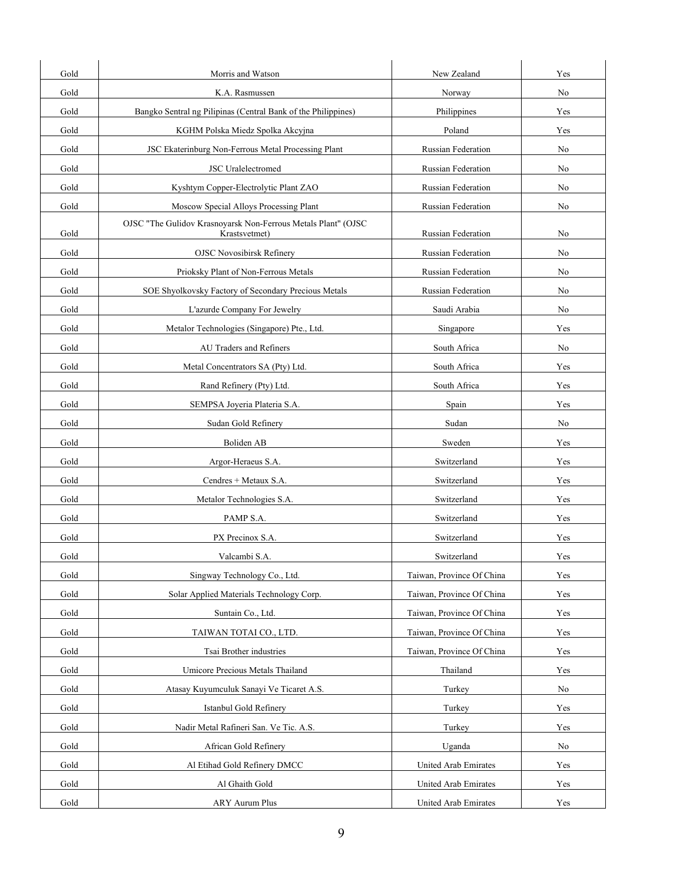| Gold | Morris and Watson                                                              | New Zealand               | Yes |
|------|--------------------------------------------------------------------------------|---------------------------|-----|
| Gold | K.A. Rasmussen                                                                 | Norway                    | No  |
| Gold | Bangko Sentral ng Pilipinas (Central Bank of the Philippines)                  | Philippines               | Yes |
| Gold | KGHM Polska Miedz Spolka Akcyjna                                               | Poland                    | Yes |
| Gold | JSC Ekaterinburg Non-Ferrous Metal Processing Plant                            | Russian Federation        | No  |
| Gold | <b>JSC</b> Uralelectromed                                                      | <b>Russian Federation</b> | No  |
| Gold | Kyshtym Copper-Electrolytic Plant ZAO                                          | <b>Russian Federation</b> | No  |
| Gold | Moscow Special Alloys Processing Plant                                         | Russian Federation        | No  |
| Gold | OJSC "The Gulidov Krasnoyarsk Non-Ferrous Metals Plant" (OJSC<br>Krastsvetmet) | Russian Federation        | No  |
| Gold | <b>OJSC Novosibirsk Refinery</b>                                               | Russian Federation        | No  |
| Gold | Prioksky Plant of Non-Ferrous Metals                                           | Russian Federation        | No  |
| Gold | SOE Shyolkovsky Factory of Secondary Precious Metals                           | Russian Federation        | No  |
| Gold | L'azurde Company For Jewelry                                                   | Saudi Arabia              | No  |
| Gold | Metalor Technologies (Singapore) Pte., Ltd.                                    | Singapore                 | Yes |
| Gold | AU Traders and Refiners                                                        | South Africa              | No  |
| Gold | Metal Concentrators SA (Pty) Ltd.                                              | South Africa              | Yes |
| Gold | Rand Refinery (Pty) Ltd.                                                       | South Africa              | Yes |
| Gold | SEMPSA Joyeria Plateria S.A.                                                   | Spain                     | Yes |
| Gold | Sudan Gold Refinery                                                            | Sudan                     | No  |
| Gold | Boliden AB                                                                     | Sweden                    | Yes |
| Gold | Argor-Heraeus S.A.                                                             | Switzerland               | Yes |
| Gold | Cendres + Metaux S.A.                                                          | Switzerland               | Yes |
| Gold | Metalor Technologies S.A.                                                      | Switzerland               | Yes |
| Gold | PAMP S.A.                                                                      | Switzerland               | Yes |
| Gold | PX Precinox S.A.                                                               | Switzerland               | Yes |
| Gold | Valcambi S.A.                                                                  | Switzerland               | Yes |
| Gold | Singway Technology Co., Ltd.                                                   | Taiwan, Province Of China | Yes |
| Gold | Solar Applied Materials Technology Corp.                                       | Taiwan, Province Of China | Yes |
| Gold | Suntain Co., Ltd.                                                              | Taiwan, Province Of China | Yes |
| Gold | TAIWAN TOTAI CO., LTD.                                                         | Taiwan, Province Of China | Yes |
| Gold | Tsai Brother industries                                                        | Taiwan, Province Of China | Yes |
| Gold | Umicore Precious Metals Thailand                                               | Thailand                  | Yes |
| Gold | Atasay Kuyumculuk Sanayi Ve Ticaret A.S.                                       | Turkey                    | No  |
| Gold | Istanbul Gold Refinery                                                         | Turkey                    | Yes |
| Gold | Nadir Metal Rafineri San. Ve Tic. A.S.                                         | Turkey                    | Yes |
| Gold | African Gold Refinery                                                          | Uganda                    | No  |
| Gold | Al Etihad Gold Refinery DMCC                                                   | United Arab Emirates      | Yes |
| Gold | Al Ghaith Gold                                                                 | United Arab Emirates      | Yes |
| Gold | <b>ARY Aurum Plus</b>                                                          | United Arab Emirates      | Yes |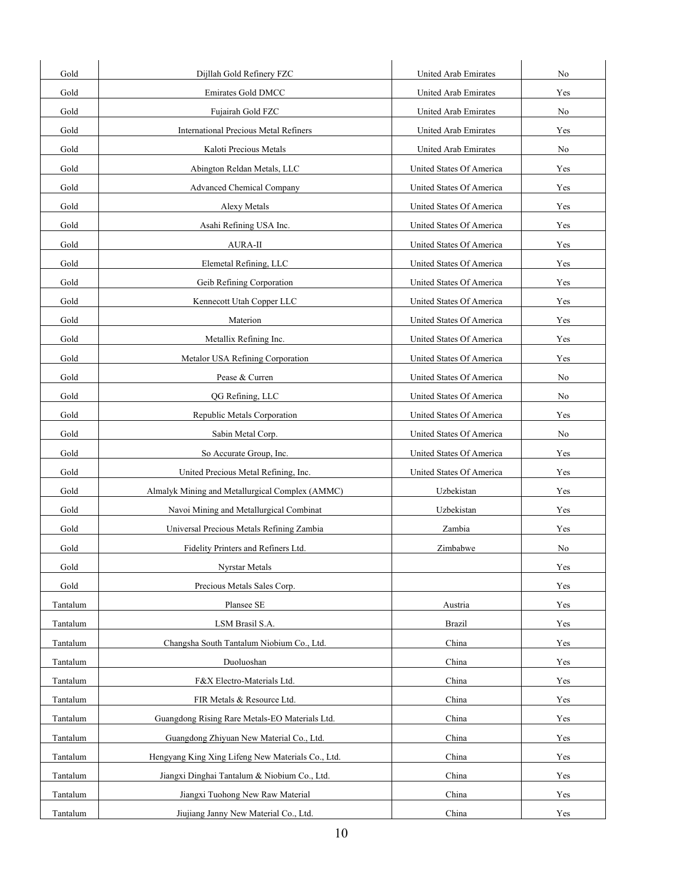| Gold     | Dijllah Gold Refinery FZC                         | United Arab Emirates        | No  |
|----------|---------------------------------------------------|-----------------------------|-----|
| Gold     | Emirates Gold DMCC                                | <b>United Arab Emirates</b> | Yes |
| Gold     | Fujairah Gold FZC                                 | United Arab Emirates        | No  |
| Gold     | <b>International Precious Metal Refiners</b>      | <b>United Arab Emirates</b> | Yes |
| Gold     | Kaloti Precious Metals                            | United Arab Emirates        | No  |
| Gold     | Abington Reldan Metals, LLC                       | United States Of America    | Yes |
| Gold     | <b>Advanced Chemical Company</b>                  | United States Of America    | Yes |
| Gold     | Alexy Metals                                      | United States Of America    | Yes |
| Gold     | Asahi Refining USA Inc.                           | United States Of America    | Yes |
| Gold     | AURA-II                                           | United States Of America    | Yes |
| Gold     | Elemetal Refining, LLC                            | United States Of America    | Yes |
| Gold     | Geib Refining Corporation                         | United States Of America    | Yes |
| Gold     | Kennecott Utah Copper LLC                         | United States Of America    | Yes |
| Gold     | Materion                                          | United States Of America    | Yes |
| Gold     | Metallix Refining Inc.                            | United States Of America    | Yes |
| Gold     | Metalor USA Refining Corporation                  | United States Of America    | Yes |
| Gold     | Pease & Curren                                    | United States Of America    | No  |
| Gold     | QG Refining, LLC                                  | United States Of America    | No  |
| Gold     | Republic Metals Corporation                       | United States Of America    | Yes |
| Gold     | Sabin Metal Corp.                                 | United States Of America    | No  |
| Gold     | So Accurate Group, Inc.                           | United States Of America    | Yes |
| Gold     | United Precious Metal Refining, Inc.              | United States Of America    | Yes |
| Gold     | Almalyk Mining and Metallurgical Complex (AMMC)   | Uzbekistan                  | Yes |
| Gold     | Navoi Mining and Metallurgical Combinat           | Uzbekistan                  | Yes |
| Gold     | Universal Precious Metals Refining Zambia         | Zambia                      | Yes |
| Gold     | Fidelity Printers and Refiners Ltd.               | Zimbabwe                    | No  |
| Gold     | Nyrstar Metals                                    |                             | Yes |
| Gold     | Precious Metals Sales Corp.                       |                             | Yes |
| Tantalum | Plansee SE                                        | Austria                     | Yes |
| Tantalum | LSM Brasil S.A.                                   | <b>Brazil</b>               | Yes |
| Tantalum | Changsha South Tantalum Niobium Co., Ltd.         | China                       | Yes |
| Tantalum | Duoluoshan                                        | China                       | Yes |
| Tantalum | F&X Electro-Materials Ltd.                        | China                       | Yes |
| Tantalum | FIR Metals & Resource Ltd.                        | China                       | Yes |
| Tantalum | Guangdong Rising Rare Metals-EO Materials Ltd.    | China                       | Yes |
| Tantalum | Guangdong Zhiyuan New Material Co., Ltd.          | China                       | Yes |
| Tantalum | Hengyang King Xing Lifeng New Materials Co., Ltd. | China                       | Yes |
| Tantalum | Jiangxi Dinghai Tantalum & Niobium Co., Ltd.      | China                       | Yes |
| Tantalum | Jiangxi Tuohong New Raw Material                  | China                       | Yes |
| Tantalum | Jiujiang Janny New Material Co., Ltd.             | China                       | Yes |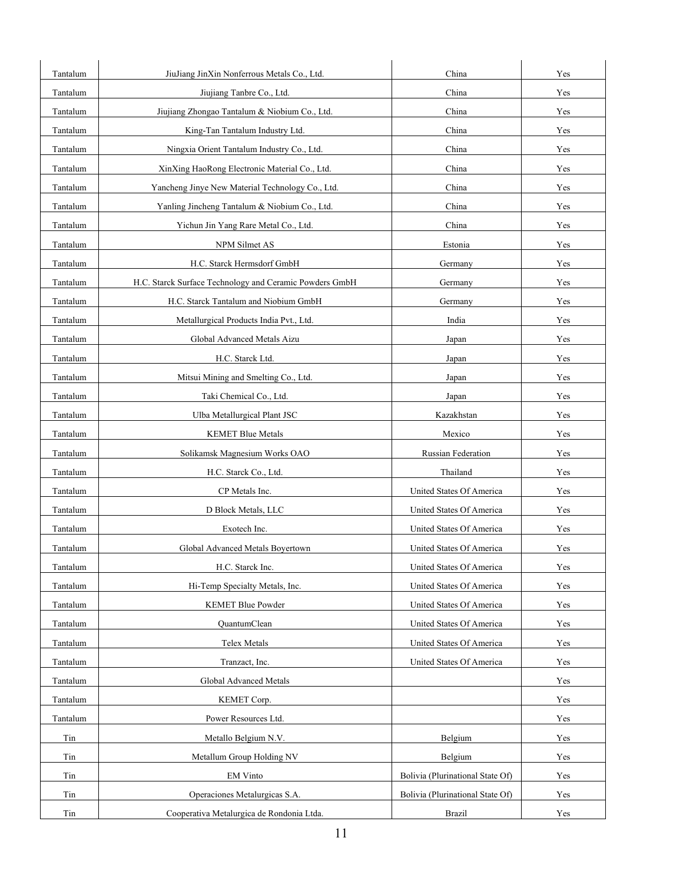| Tantalum | JiuJiang JinXin Nonferrous Metals Co., Ltd.             | China                            | Yes |
|----------|---------------------------------------------------------|----------------------------------|-----|
| Tantalum | Jiujiang Tanbre Co., Ltd.                               | China                            | Yes |
| Tantalum | Jiujiang Zhongao Tantalum & Niobium Co., Ltd.           | China                            | Yes |
| Tantalum | King-Tan Tantalum Industry Ltd.                         | China                            | Yes |
| Tantalum | Ningxia Orient Tantalum Industry Co., Ltd.              | China                            | Yes |
| Tantalum | XinXing HaoRong Electronic Material Co., Ltd.           | China                            | Yes |
| Tantalum | Yancheng Jinye New Material Technology Co., Ltd.        | China                            | Yes |
| Tantalum | Yanling Jincheng Tantalum & Niobium Co., Ltd.           | China                            | Yes |
| Tantalum | Yichun Jin Yang Rare Metal Co., Ltd.                    | China                            | Yes |
| Tantalum | NPM Silmet AS                                           | Estonia                          | Yes |
| Tantalum | H.C. Starck Hermsdorf GmbH                              | Germany                          | Yes |
| Tantalum | H.C. Starck Surface Technology and Ceramic Powders GmbH | Germany                          | Yes |
| Tantalum | H.C. Starck Tantalum and Niobium GmbH                   | Germany                          | Yes |
| Tantalum | Metallurgical Products India Pvt., Ltd.                 | India                            | Yes |
| Tantalum | Global Advanced Metals Aizu                             | Japan                            | Yes |
| Tantalum | H.C. Starck Ltd.                                        | Japan                            | Yes |
| Tantalum | Mitsui Mining and Smelting Co., Ltd.                    | Japan                            | Yes |
| Tantalum | Taki Chemical Co., Ltd.                                 | Japan                            | Yes |
| Tantalum | Ulba Metallurgical Plant JSC                            | Kazakhstan                       | Yes |
| Tantalum | <b>KEMET Blue Metals</b>                                | Mexico                           | Yes |
| Tantalum | Solikamsk Magnesium Works OAO                           | Russian Federation               | Yes |
| Tantalum | H.C. Starck Co., Ltd.                                   | Thailand                         | Yes |
| Tantalum | CP Metals Inc.                                          | United States Of America         | Yes |
| Tantalum | D Block Metals, LLC                                     | United States Of America         | Yes |
| Tantalum | Exotech Inc.                                            | United States Of America         | Yes |
| Tantalum | Global Advanced Metals Boyertown                        | United States Of America         | Yes |
| Tantalum | H.C. Starck Inc.                                        | United States Of America         | Yes |
| Tantalum | Hi-Temp Specialty Metals, Inc.                          | United States Of America         | Yes |
| Tantalum | <b>KEMET Blue Powder</b>                                | United States Of America         | Yes |
| Tantalum | QuantumClean                                            | United States Of America         | Yes |
| Tantalum | Telex Metals                                            | United States Of America         | Yes |
| Tantalum | Tranzact, Inc.                                          | United States Of America         | Yes |
| Tantalum | Global Advanced Metals                                  |                                  | Yes |
| Tantalum | KEMET Corp.                                             |                                  | Yes |
| Tantalum | Power Resources Ltd.                                    |                                  | Yes |
| Tin      | Metallo Belgium N.V.                                    | Belgium                          | Yes |
| Tin      | Metallum Group Holding NV                               | Belgium                          | Yes |
| Tin      | EM Vinto                                                | Bolivia (Plurinational State Of) | Yes |
| Tin      | Operaciones Metalurgicas S.A.                           | Bolivia (Plurinational State Of) | Yes |
| Tin      | Cooperativa Metalurgica de Rondonia Ltda.               | <b>Brazil</b>                    | Yes |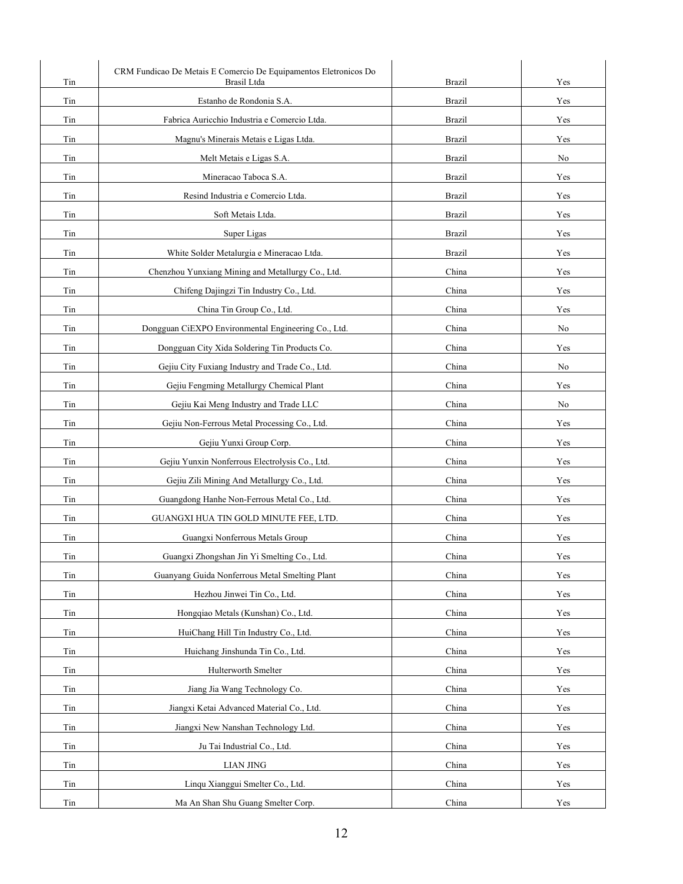| Tin | CRM Fundicao De Metais E Comercio De Equipamentos Eletronicos Do<br>Brasil Ltda | <b>Brazil</b> | Yes |
|-----|---------------------------------------------------------------------------------|---------------|-----|
| Tin | Estanho de Rondonia S.A.                                                        | <b>Brazil</b> | Yes |
| Tin | Fabrica Auricchio Industria e Comercio Ltda.                                    | <b>Brazil</b> | Yes |
| Tin | Magnu's Minerais Metais e Ligas Ltda.                                           | <b>Brazil</b> | Yes |
| Tin | Melt Metais e Ligas S.A.                                                        | <b>Brazil</b> | No  |
| Tin | Mineracao Taboca S.A.                                                           | <b>Brazil</b> | Yes |
| Tin | Resind Industria e Comercio Ltda.                                               | <b>Brazil</b> | Yes |
| Tin | Soft Metais Ltda.                                                               | <b>Brazil</b> | Yes |
| Tin | Super Ligas                                                                     | <b>Brazil</b> | Yes |
| Tin | White Solder Metalurgia e Mineracao Ltda.                                       | <b>Brazil</b> | Yes |
| Tin | Chenzhou Yunxiang Mining and Metallurgy Co., Ltd.                               | China         | Yes |
| Tin | Chifeng Dajingzi Tin Industry Co., Ltd.                                         | China         | Yes |
| Tin | China Tin Group Co., Ltd.                                                       | China         | Yes |
| Tin | Dongguan CiEXPO Environmental Engineering Co., Ltd.                             | China         | No  |
| Tin | Dongguan City Xida Soldering Tin Products Co.                                   | China         | Yes |
| Tin | Gejiu City Fuxiang Industry and Trade Co., Ltd.                                 | China         | No  |
| Tin | Gejiu Fengming Metallurgy Chemical Plant                                        | China         | Yes |
| Tin | Gejiu Kai Meng Industry and Trade LLC                                           | China         | No  |
| Tin | Gejiu Non-Ferrous Metal Processing Co., Ltd.                                    | China         | Yes |
| Tin | Gejiu Yunxi Group Corp.                                                         | China         | Yes |
| Tin | Gejiu Yunxin Nonferrous Electrolysis Co., Ltd.                                  | China         | Yes |
| Tin | Gejiu Zili Mining And Metallurgy Co., Ltd.                                      | China         | Yes |
| Tin | Guangdong Hanhe Non-Ferrous Metal Co., Ltd.                                     | China         | Yes |
| Tin | GUANGXI HUA TIN GOLD MINUTE FEE, LTD.                                           | China         | Yes |
| Tin | Guangxi Nonferrous Metals Group                                                 | China         | Yes |
| Tin | Guangxi Zhongshan Jin Yi Smelting Co., Ltd.                                     | China         | Yes |
| Tin | Guanyang Guida Nonferrous Metal Smelting Plant                                  | China         | Yes |
| Tin | Hezhou Jinwei Tin Co., Ltd.                                                     | China         | Yes |
| Tin | Hongqiao Metals (Kunshan) Co., Ltd.                                             | China         | Yes |
| Tin | HuiChang Hill Tin Industry Co., Ltd.                                            | China         | Yes |
| Tin | Huichang Jinshunda Tin Co., Ltd.                                                | China         | Yes |
| Tin | Hulterworth Smelter                                                             | China         | Yes |
| Tin | Jiang Jia Wang Technology Co.                                                   | China         | Yes |
| Tin | Jiangxi Ketai Advanced Material Co., Ltd.                                       | China         | Yes |
| Tin | Jiangxi New Nanshan Technology Ltd.                                             | China         | Yes |
| Tin | Ju Tai Industrial Co., Ltd.                                                     | China         | Yes |
| Tin | <b>LIAN JING</b>                                                                | China         | Yes |
| Tin | Linqu Xianggui Smelter Co., Ltd.                                                | China         | Yes |
| Tin | Ma An Shan Shu Guang Smelter Corp.                                              | China         | Yes |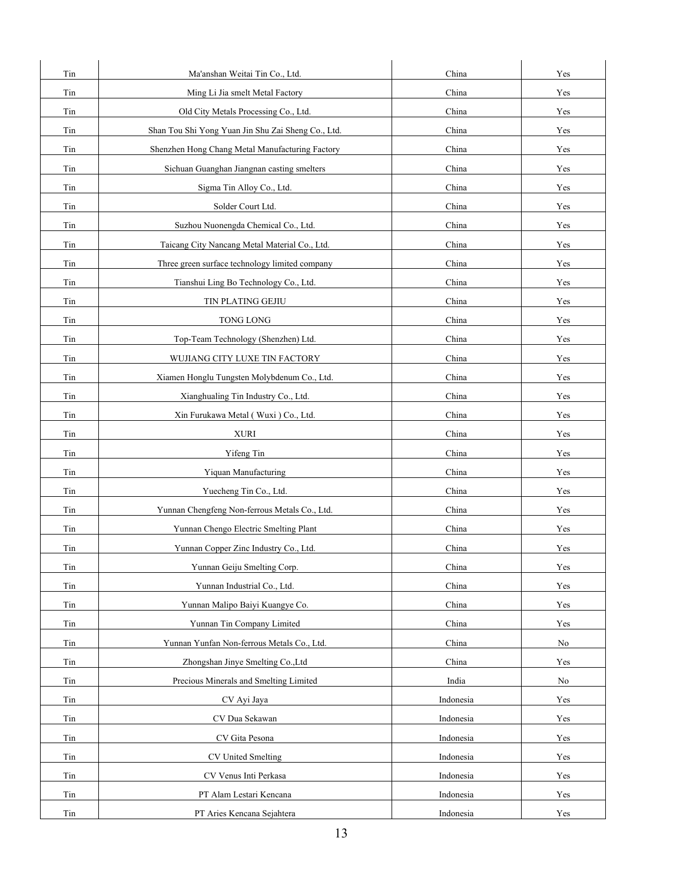| Tin | Ma'anshan Weitai Tin Co., Ltd.                     | China     | Yes |
|-----|----------------------------------------------------|-----------|-----|
| Tin | Ming Li Jia smelt Metal Factory                    | China     | Yes |
| Tin | Old City Metals Processing Co., Ltd.               | China     | Yes |
| Tin | Shan Tou Shi Yong Yuan Jin Shu Zai Sheng Co., Ltd. | China     | Yes |
| Tin | Shenzhen Hong Chang Metal Manufacturing Factory    | China     | Yes |
| Tin | Sichuan Guanghan Jiangnan casting smelters         | China     | Yes |
| Tin | Sigma Tin Alloy Co., Ltd.                          | China     | Yes |
| Tin | Solder Court Ltd.                                  | China     | Yes |
| Tin | Suzhou Nuonengda Chemical Co., Ltd.                | China     | Yes |
| Tin | Taicang City Nancang Metal Material Co., Ltd.      | China     | Yes |
| Tin | Three green surface technology limited company     | China     | Yes |
| Tin | Tianshui Ling Bo Technology Co., Ltd.              | China     | Yes |
| Tin | TIN PLATING GEJIU                                  | China     | Yes |
| Tin | TONG LONG                                          | China     | Yes |
| Tin | Top-Team Technology (Shenzhen) Ltd.                | China     | Yes |
| Tin | WUJIANG CITY LUXE TIN FACTORY                      | China     | Yes |
| Tin | Xiamen Honglu Tungsten Molybdenum Co., Ltd.        | China     | Yes |
| Tin | Xianghualing Tin Industry Co., Ltd.                | China     | Yes |
| Tin | Xin Furukawa Metal (Wuxi) Co., Ltd.                | China     | Yes |
| Tin | <b>XURI</b>                                        | China     | Yes |
| Tin | Yifeng Tin                                         | China     | Yes |
| Tin | Yiquan Manufacturing                               | China     | Yes |
| Tin | Yuecheng Tin Co., Ltd.                             | China     | Yes |
| Tin | Yunnan Chengfeng Non-ferrous Metals Co., Ltd.      | China     | Yes |
| Tin | Yunnan Chengo Electric Smelting Plant              | China     | Yes |
| Tin | Yunnan Copper Zinc Industry Co., Ltd.              | China     | Yes |
| Tin | Yunnan Geiju Smelting Corp.                        | China     | Yes |
| Tin | Yunnan Industrial Co., Ltd.                        | China     | Yes |
| Tin | Yunnan Malipo Baiyi Kuangye Co.                    | China     | Yes |
| Tin | Yunnan Tin Company Limited                         | China     | Yes |
| Tin | Yunnan Yunfan Non-ferrous Metals Co., Ltd.         | China     | No  |
| Tin | Zhongshan Jinye Smelting Co., Ltd                  | China     | Yes |
| Tin | Precious Minerals and Smelting Limited             | India     | No  |
| Tin | CV Ayi Jaya                                        | Indonesia | Yes |
| Tin | CV Dua Sekawan                                     | Indonesia | Yes |
| Tin | CV Gita Pesona                                     | Indonesia | Yes |
| Tin | CV United Smelting                                 | Indonesia | Yes |
| Tin | CV Venus Inti Perkasa                              | Indonesia | Yes |
| Tin | PT Alam Lestari Kencana                            | Indonesia | Yes |
| Tin | PT Aries Kencana Sejahtera                         | Indonesia | Yes |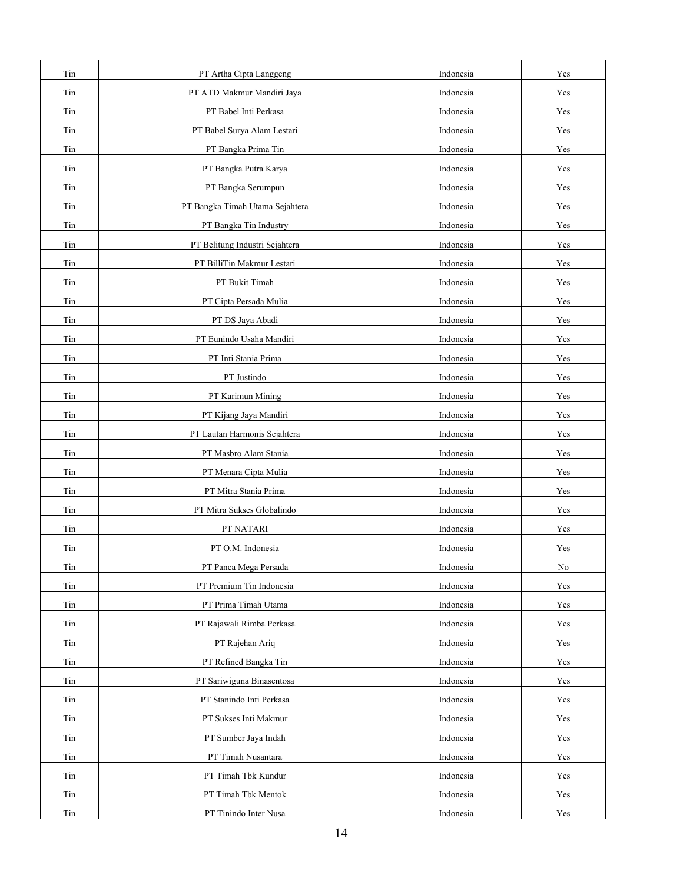| Tin | PT Artha Cipta Langgeng         | Indonesia | Yes                  |
|-----|---------------------------------|-----------|----------------------|
| Tin | PT ATD Makmur Mandiri Jaya      | Indonesia | Yes                  |
| Tin | PT Babel Inti Perkasa           | Indonesia | Yes                  |
| Tin | PT Babel Surya Alam Lestari     | Indonesia | Yes                  |
| Tin | PT Bangka Prima Tin             | Indonesia | $\operatorname{Yes}$ |
| Tin | PT Bangka Putra Karya           | Indonesia | Yes                  |
| Tin | PT Bangka Serumpun              | Indonesia | Yes                  |
| Tin | PT Bangka Timah Utama Sejahtera | Indonesia | Yes                  |
| Tin | PT Bangka Tin Industry          | Indonesia | Yes                  |
| Tin | PT Belitung Industri Sejahtera  | Indonesia | Yes                  |
| Tin | PT BilliTin Makmur Lestari      | Indonesia | Yes                  |
| Tin | PT Bukit Timah                  | Indonesia | Yes                  |
| Tin | PT Cipta Persada Mulia          | Indonesia | Yes                  |
| Tin | PT DS Jaya Abadi                | Indonesia | Yes                  |
| Tin | PT Eunindo Usaha Mandiri        | Indonesia | Yes                  |
| Tin | PT Inti Stania Prima            | Indonesia | Yes                  |
| Tin | PT Justindo                     | Indonesia | Yes                  |
| Tin | PT Karimun Mining               | Indonesia | Yes                  |
| Tin | PT Kijang Jaya Mandiri          | Indonesia | Yes                  |
| Tin | PT Lautan Harmonis Sejahtera    | Indonesia | Yes                  |
| Tin | PT Masbro Alam Stania           | Indonesia | Yes                  |
| Tin | PT Menara Cipta Mulia           | Indonesia | Yes                  |
| Tin | PT Mitra Stania Prima           | Indonesia | Yes                  |
| Tin | PT Mitra Sukses Globalindo      | Indonesia | Yes                  |
| Tin | PT NATARI                       | Indonesia | Yes                  |
| Tin | PT O.M. Indonesia               | Indonesia | Yes                  |
| Tin | PT Panca Mega Persada           | Indonesia | No                   |
| Tin | PT Premium Tin Indonesia        | Indonesia | Yes                  |
| Tin | PT Prima Timah Utama            | Indonesia | Yes                  |
| Tin | PT Rajawali Rimba Perkasa       | Indonesia | Yes                  |
| Tin | PT Rajehan Ariq                 | Indonesia | Yes                  |
| Tin | PT Refined Bangka Tin           | Indonesia | Yes                  |
| Tin | PT Sariwiguna Binasentosa       | Indonesia | Yes                  |
| Tin | PT Stanindo Inti Perkasa        | Indonesia | Yes                  |
| Tin | PT Sukses Inti Makmur           | Indonesia | $\operatorname{Yes}$ |
| Tin | PT Sumber Jaya Indah            | Indonesia | Yes                  |
| Tin | PT Timah Nusantara              | Indonesia | Yes                  |
| Tin | PT Timah Tbk Kundur             | Indonesia | Yes                  |
| Tin | PT Timah Tbk Mentok             | Indonesia | Yes                  |
| Tin | PT Tinindo Inter Nusa           | Indonesia | Yes                  |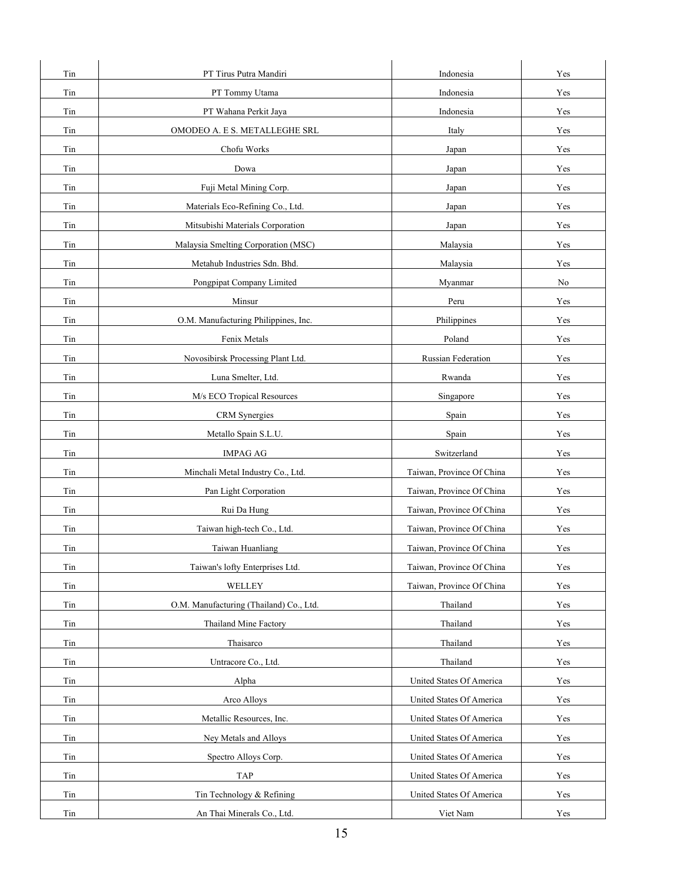| Tin      | PT Tirus Putra Mandiri                  | Indonesia                 | Yes |
|----------|-----------------------------------------|---------------------------|-----|
| Tin      | PT Tommy Utama                          | Indonesia                 | Yes |
| Tin      | PT Wahana Perkit Jaya                   | Indonesia                 | Yes |
| Tin      | OMODEO A. E S. METALLEGHE SRL           | Italy                     | Yes |
| Tin      | Chofu Works                             | Japan                     | Yes |
| Tin      | Dowa                                    | Japan                     | Yes |
| Tin      | Fuji Metal Mining Corp.                 | Japan                     | Yes |
| Tin      | Materials Eco-Refining Co., Ltd.        | Japan                     | Yes |
| Tin      | Mitsubishi Materials Corporation        | Japan                     | Yes |
| Tin      | Malaysia Smelting Corporation (MSC)     | Malaysia                  | Yes |
| $\rm{T}$ | Metahub Industries Sdn. Bhd.            | Malaysia                  | Yes |
| Tin      | Pongpipat Company Limited               | Myanmar                   | No  |
| Tin      | Minsur                                  | Peru                      | Yes |
| Tin      | O.M. Manufacturing Philippines, Inc.    | Philippines               | Yes |
| Tin      | Fenix Metals                            | Poland                    | Yes |
| Tin      | Novosibirsk Processing Plant Ltd.       | Russian Federation        | Yes |
| Tin      | Luna Smelter, Ltd.                      | Rwanda                    | Yes |
| Tin      | M/s ECO Tropical Resources              | Singapore                 | Yes |
| Tin      | CRM Synergies                           | Spain                     | Yes |
| Tin      | Metallo Spain S.L.U.                    | Spain                     | Yes |
| Tin      | <b>IMPAG AG</b>                         | Switzerland               | Yes |
| Tin      | Minchali Metal Industry Co., Ltd.       | Taiwan, Province Of China | Yes |
| Tin      | Pan Light Corporation                   | Taiwan, Province Of China | Yes |
| Tin      | Rui Da Hung                             | Taiwan, Province Of China | Yes |
| Tin      | Taiwan high-tech Co., Ltd.              | Taiwan, Province Of China | Yes |
| Tin      | Taiwan Huanliang                        | Taiwan, Province Of China | Yes |
| Tin      | Taiwan's lofty Enterprises Ltd.         | Taiwan, Province Of China | Yes |
| Tin      | WELLEY                                  | Taiwan, Province Of China | Yes |
| Tin      | O.M. Manufacturing (Thailand) Co., Ltd. | Thailand                  | Yes |
| Tin      | Thailand Mine Factory                   | Thailand                  | Yes |
| Tin      | Thaisarco                               | Thailand                  | Yes |
| Tin      | Untracore Co., Ltd.                     | Thailand                  | Yes |
| Tin      | Alpha                                   | United States Of America  | Yes |
| Tin      | Arco Alloys                             | United States Of America  | Yes |
| Tin      | Metallic Resources, Inc.                | United States Of America  | Yes |
| Tin      | Ney Metals and Alloys                   | United States Of America  | Yes |
| Tin      | Spectro Alloys Corp.                    | United States Of America  | Yes |
| Tin      | TAP                                     | United States Of America  | Yes |
| Tin      | Tin Technology & Refining               | United States Of America  | Yes |
| Tin      | An Thai Minerals Co., Ltd.              | Viet Nam                  | Yes |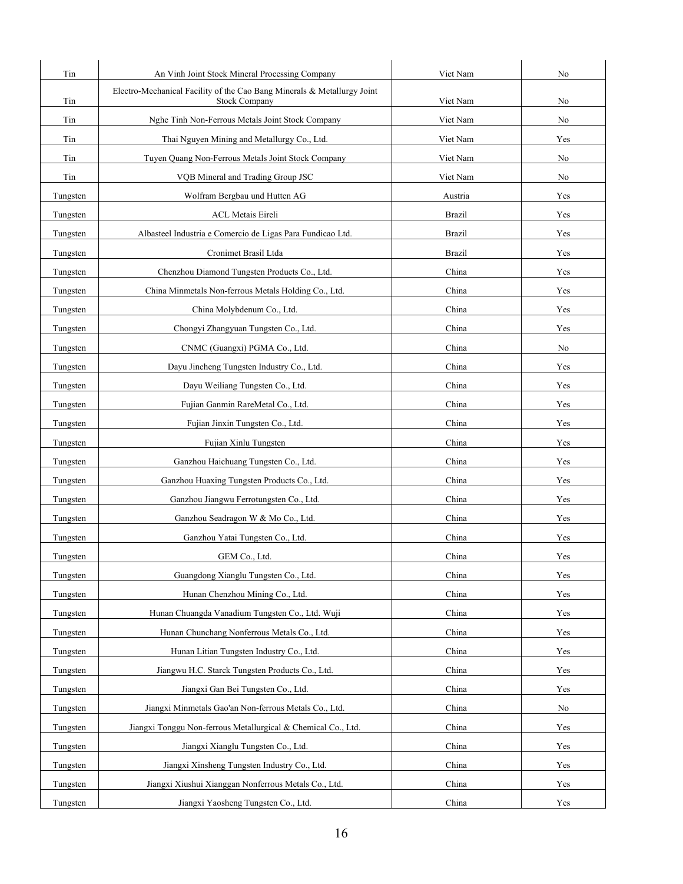| Tin      | An Vinh Joint Stock Mineral Processing Company                                                  | Viet Nam      | No  |
|----------|-------------------------------------------------------------------------------------------------|---------------|-----|
| Tin      | Electro-Mechanical Facility of the Cao Bang Minerals & Metallurgy Joint<br><b>Stock Company</b> | Viet Nam      | No  |
| Tin      | Nghe Tinh Non-Ferrous Metals Joint Stock Company                                                | Viet Nam      | No  |
| Tin      | Thai Nguyen Mining and Metallurgy Co., Ltd.                                                     | Viet Nam      | Yes |
| Tin      | Tuyen Quang Non-Ferrous Metals Joint Stock Company                                              | Viet Nam      | No  |
| Tin      | VQB Mineral and Trading Group JSC                                                               | Viet Nam      | No  |
| Tungsten | Wolfram Bergbau und Hutten AG                                                                   | Austria       | Yes |
| Tungsten | <b>ACL Metais Eireli</b>                                                                        | <b>Brazil</b> | Yes |
| Tungsten | Albasteel Industria e Comercio de Ligas Para Fundicao Ltd.                                      | <b>Brazil</b> | Yes |
| Tungsten | Cronimet Brasil Ltda                                                                            | <b>Brazil</b> | Yes |
| Tungsten | Chenzhou Diamond Tungsten Products Co., Ltd.                                                    | China         | Yes |
| Tungsten | China Minmetals Non-ferrous Metals Holding Co., Ltd.                                            | China         | Yes |
| Tungsten | China Molybdenum Co., Ltd.                                                                      | China         | Yes |
| Tungsten | Chongyi Zhangyuan Tungsten Co., Ltd.                                                            | China         | Yes |
| Tungsten | CNMC (Guangxi) PGMA Co., Ltd.                                                                   | China         | No  |
| Tungsten | Dayu Jincheng Tungsten Industry Co., Ltd.                                                       | China         | Yes |
| Tungsten | Dayu Weiliang Tungsten Co., Ltd.                                                                | China         | Yes |
| Tungsten | Fujian Ganmin RareMetal Co., Ltd.                                                               | China         | Yes |
| Tungsten | Fujian Jinxin Tungsten Co., Ltd.                                                                | China         | Yes |
| Tungsten | Fujian Xinlu Tungsten                                                                           | China         | Yes |
| Tungsten | Ganzhou Haichuang Tungsten Co., Ltd.                                                            | China         | Yes |
| Tungsten | Ganzhou Huaxing Tungsten Products Co., Ltd.                                                     | China         | Yes |
| Tungsten | Ganzhou Jiangwu Ferrotungsten Co., Ltd.                                                         | China         | Yes |
| Tungsten | Ganzhou Seadragon W & Mo Co., Ltd.                                                              | China         | Yes |
| Tungsten | Ganzhou Yatai Tungsten Co., Ltd.                                                                | China         | Yes |
| Tungsten | GEM Co., Ltd.                                                                                   | China         | Yes |
| Tungsten | Guangdong Xianglu Tungsten Co., Ltd.                                                            | China         | Yes |
| Tungsten | Hunan Chenzhou Mining Co., Ltd.                                                                 | China         | Yes |
| Tungsten | Hunan Chuangda Vanadium Tungsten Co., Ltd. Wuji                                                 | China         | Yes |
| Tungsten | Hunan Chunchang Nonferrous Metals Co., Ltd.                                                     | China         | Yes |
| Tungsten | Hunan Litian Tungsten Industry Co., Ltd.                                                        | China         | Yes |
| Tungsten | Jiangwu H.C. Starck Tungsten Products Co., Ltd.                                                 | China         | Yes |
| Tungsten | Jiangxi Gan Bei Tungsten Co., Ltd.                                                              | China         | Yes |
| Tungsten | Jiangxi Minmetals Gao'an Non-ferrous Metals Co., Ltd.                                           | China         | No  |
| Tungsten | Jiangxi Tonggu Non-ferrous Metallurgical & Chemical Co., Ltd.                                   | China         | Yes |
| Tungsten | Jiangxi Xianglu Tungsten Co., Ltd.                                                              | China         | Yes |
| Tungsten | Jiangxi Xinsheng Tungsten Industry Co., Ltd.                                                    | China         | Yes |
| Tungsten | Jiangxi Xiushui Xianggan Nonferrous Metals Co., Ltd.                                            | China         | Yes |
| Tungsten | Jiangxi Yaosheng Tungsten Co., Ltd.                                                             | China         | Yes |